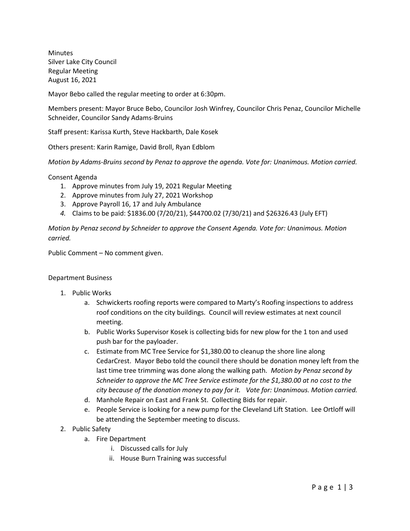Minutes Silver Lake City Council Regular Meeting August 16, 2021

Mayor Bebo called the regular meeting to order at 6:30pm.

Members present: Mayor Bruce Bebo, Councilor Josh Winfrey, Councilor Chris Penaz, Councilor Michelle Schneider, Councilor Sandy Adams-Bruins

Staff present: Karissa Kurth, Steve Hackbarth, Dale Kosek

Others present: Karin Ramige, David Broll, Ryan Edblom

*Motion by Adams-Bruins second by Penaz to approve the agenda. Vote for: Unanimous. Motion carried.*

Consent Agenda

- 1. Approve minutes from July 19, 2021 Regular Meeting
- 2. Approve minutes from July 27, 2021 Workshop
- 3. Approve Payroll 16, 17 and July Ambulance
- *4.* Claims to be paid: \$1836.00 (7/20/21), \$44700.02 (7/30/21) and \$26326.43 (July EFT)

*Motion by Penaz second by Schneider to approve the Consent Agenda. Vote for: Unanimous. Motion carried.*

Public Comment – No comment given.

## Department Business

- 1. Public Works
	- a. Schwickerts roofing reports were compared to Marty's Roofing inspections to address roof conditions on the city buildings. Council will review estimates at next council meeting.
	- b. Public Works Supervisor Kosek is collecting bids for new plow for the 1 ton and used push bar for the payloader.
	- c. Estimate from MC Tree Service for \$1,380.00 to cleanup the shore line along CedarCrest. Mayor Bebo told the council there should be donation money left from the last time tree trimming was done along the walking path. *Motion by Penaz second by Schneider to approve the MC Tree Service estimate for the \$1,380.00 at no cost to the city because of the donation money to pay for it. Vote for: Unanimous. Motion carried.*
	- d. Manhole Repair on East and Frank St. Collecting Bids for repair.
	- e. People Service is looking for a new pump for the Cleveland Lift Station. Lee Ortloff will be attending the September meeting to discuss.
- 2. Public Safety
	- a. Fire Department
		- i. Discussed calls for July
		- ii. House Burn Training was successful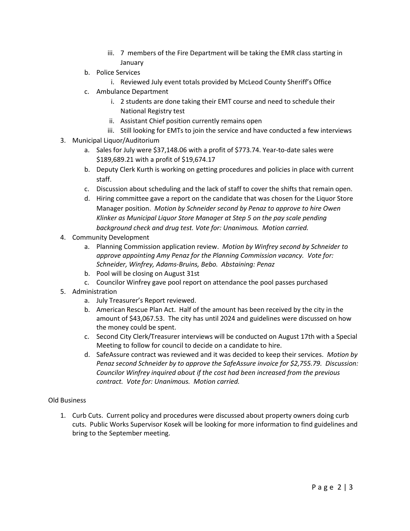- iii. 7 members of the Fire Department will be taking the EMR class starting in January
- b. Police Services
	- i. Reviewed July event totals provided by McLeod County Sheriff's Office
- c. Ambulance Department
	- i. 2 students are done taking their EMT course and need to schedule their National Registry test
	- ii. Assistant Chief position currently remains open
	- iii. Still looking for EMTs to join the service and have conducted a few interviews
- 3. Municipal Liquor/Auditorium
	- a. Sales for July were \$37,148.06 with a profit of \$773.74. Year-to-date sales were \$189,689.21 with a profit of \$19,674.17
	- b. Deputy Clerk Kurth is working on getting procedures and policies in place with current staff.
	- c. Discussion about scheduling and the lack of staff to cover the shifts that remain open.
	- d. Hiring committee gave a report on the candidate that was chosen for the Liquor Store Manager position. *Motion by Schneider second by Penaz to approve to hire Owen Klinker as Municipal Liquor Store Manager at Step 5 on the pay scale pending background check and drug test. Vote for: Unanimous. Motion carried.*
- 4. Community Development
	- a. Planning Commission application review. *Motion by Winfrey second by Schneider to approve appointing Amy Penaz for the Planning Commission vacancy. Vote for: Schneider, Winfrey, Adams-Bruins, Bebo. Abstaining: Penaz*
	- b. Pool will be closing on August 31st
	- c. Councilor Winfrey gave pool report on attendance the pool passes purchased
- 5. Administration
	- a. July Treasurer's Report reviewed.
	- b. American Rescue Plan Act. Half of the amount has been received by the city in the amount of \$43,067.53. The city has until 2024 and guidelines were discussed on how the money could be spent.
	- c. Second City Clerk/Treasurer interviews will be conducted on August 17th with a Special Meeting to follow for council to decide on a candidate to hire.
	- d. SafeAssure contract was reviewed and it was decided to keep their services. *Motion by Penaz second Schneider by to approve the SafeAssure invoice for \$2,755.79. Discussion: Councilor Winfrey inquired about if the cost had been increased from the previous contract. Vote for: Unanimous. Motion carried.*

## Old Business

1. Curb Cuts. Current policy and procedures were discussed about property owners doing curb cuts. Public Works Supervisor Kosek will be looking for more information to find guidelines and bring to the September meeting.